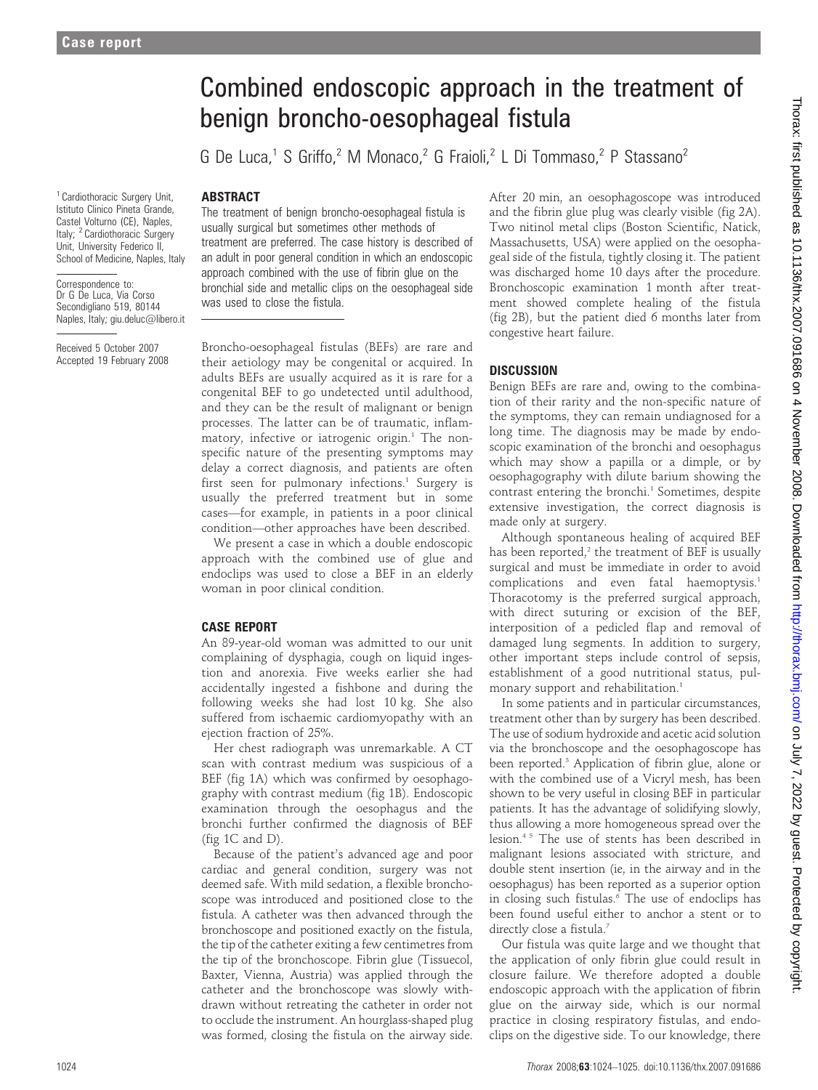<sup>1</sup> Cardiothoracic Surgery Unit Istituto Clinico Pineta Grande, Castel Volturno (CE), Naples, Italy; <sup>2</sup> Cardiothoracic Surgery Unit, University Federico II, School of Medicine, Naples, Italy

Correspondence to: Dr G De Luca, Via Corso Secondigliano 519, 80144 Naples, Italy; giu.deluc@libero.it

Received 5 October 2007 Accepted 19 February 2008

# Combined endoscopic approach in the treatment of benign broncho-oesophageal fistula

G De Luca,<sup>1</sup> S Griffo,<sup>2</sup> M Monaco,<sup>2</sup> G Fraioli,<sup>2</sup> L Di Tommaso,<sup>2</sup> P Stassano<sup>2</sup>

## ABSTRACT

The treatment of benign broncho-oesophageal fistula is usually surgical but sometimes other methods of treatment are preferred. The case history is described of an adult in poor general condition in which an endoscopic approach combined with the use of fibrin glue on the bronchial side and metallic clips on the oesophageal side was used to close the fistula.

Broncho-oesophageal fistulas (BEFs) are rare and their aetiology may be congenital or acquired. In adults BEFs are usually acquired as it is rare for a congenital BEF to go undetected until adulthood, and they can be the result of malignant or benign processes. The latter can be of traumatic, inflammatory, infective or iatrogenic origin.<sup>1</sup> The nonspecific nature of the presenting symptoms may delay a correct diagnosis, and patients are often first seen for pulmonary infections.<sup>1</sup> Surgery is usually the preferred treatment but in some cases—for example, in patients in a poor clinical condition—other approaches have been described.

We present a case in which a double endoscopic approach with the combined use of glue and endoclips was used to close a BEF in an elderly woman in poor clinical condition.

### CASE REPORT

An 89-year-old woman was admitted to our unit complaining of dysphagia, cough on liquid ingestion and anorexia. Five weeks earlier she had accidentally ingested a fishbone and during the following weeks she had lost 10 kg. She also suffered from ischaemic cardiomyopathy with an ejection fraction of 25%.

Her chest radiograph was unremarkable. A CT scan with contrast medium was suspicious of a BEF (fig 1A) which was confirmed by oesophagography with contrast medium (fig 1B). Endoscopic examination through the oesophagus and the bronchi further confirmed the diagnosis of BEF (fig 1C and D).

Because of the patient's advanced age and poor cardiac and general condition, surgery was not deemed safe. With mild sedation, a flexible bronchoscope was introduced and positioned close to the fistula. A catheter was then advanced through the bronchoscope and positioned exactly on the fistula, the tip of the catheter exiting a few centimetres from the tip of the bronchoscope. Fibrin glue (Tissuecol, Baxter, Vienna, Austria) was applied through the catheter and the bronchoscope was slowly withdrawn without retreating the catheter in order not to occlude the instrument. An hourglass-shaped plug was formed, closing the fistula on the airway side.

After 20 min, an oesophagoscope was introduced and the fibrin glue plug was clearly visible (fig 2A). Two nitinol metal clips (Boston Scientific, Natick, Massachusetts, USA) were applied on the oesophageal side of the fistula, tightly closing it. The patient was discharged home 10 days after the procedure. Bronchoscopic examination 1 month after treatment showed complete healing of the fistula (fig 2B), but the patient died 6 months later from congestive heart failure.

## **DISCUSSION**

Benign BEFs are rare and, owing to the combination of their rarity and the non-specific nature of the symptoms, they can remain undiagnosed for a long time. The diagnosis may be made by endoscopic examination of the bronchi and oesophagus which may show a papilla or a dimple, or by oesophagography with dilute barium showing the contrast entering the bronchi.<sup>1</sup> Sometimes, despite extensive investigation, the correct diagnosis is made only at surgery.

Although spontaneous healing of acquired BEF has been reported,<sup>2</sup> the treatment of BEF is usually surgical and must be immediate in order to avoid complications and even fatal haemoptysis.<sup>1</sup> Thoracotomy is the preferred surgical approach, with direct suturing or excision of the BEF, interposition of a pedicled flap and removal of damaged lung segments. In addition to surgery, other important steps include control of sepsis, establishment of a good nutritional status, pulmonary support and rehabilitation.<sup>1</sup>

In some patients and in particular circumstances, treatment other than by surgery has been described. The use of sodium hydroxide and acetic acid solution via the bronchoscope and the oesophagoscope has been reported.<sup>3</sup> Application of fibrin glue, alone or with the combined use of a Vicryl mesh, has been shown to be very useful in closing BEF in particular patients. It has the advantage of solidifying slowly, thus allowing a more homogeneous spread over the lesion.4 5 The use of stents has been described in malignant lesions associated with stricture, and double stent insertion (ie, in the airway and in the oesophagus) has been reported as a superior option in closing such fistulas.<sup>6</sup> The use of endoclips has been found useful either to anchor a stent or to directly close a fistula.<sup>7</sup>

Our fistula was quite large and we thought that the application of only fibrin glue could result in closure failure. We therefore adopted a double endoscopic approach with the application of fibrin glue on the airway side, which is our normal practice in closing respiratory fistulas, and endoclips on the digestive side. To our knowledge, there